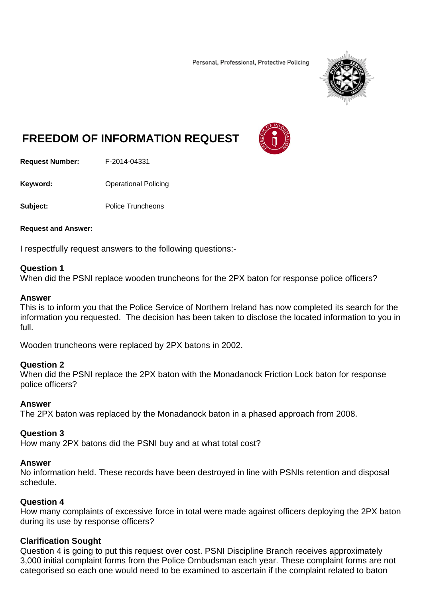Personal, Professional, Protective Policing



# **FREEDOM OF INFORMATION REQUEST**

**Request Number:** F-2014-04331

**Keyword: C**Derational Policing

**Subject:** Police Truncheons

**Request and Answer:** 

I respectfully request answers to the following questions:-

#### **Question 1**

When did the PSNI replace wooden truncheons for the 2PX baton for response police officers?

#### **Answer**

This is to inform you that the Police Service of Northern Ireland has now completed its search for the information you requested. The decision has been taken to disclose the located information to you in full.

Wooden truncheons were replaced by 2PX batons in 2002.

#### **Question 2**

When did the PSNI replace the 2PX baton with the Monadanock Friction Lock baton for response police officers?

## **Answer**

The 2PX baton was replaced by the Monadanock baton in a phased approach from 2008.

#### **Question 3**

How many 2PX batons did the PSNI buy and at what total cost?

#### **Answer**

No information held. These records have been destroyed in line with PSNIs retention and disposal schedule.

# **Question 4**

How many complaints of excessive force in total were made against officers deploying the 2PX baton during its use by response officers?

## **Clarification Sought**

Question 4 is going to put this request over cost. PSNI Discipline Branch receives approximately 3,000 initial complaint forms from the Police Ombudsman each year. These complaint forms are not categorised so each one would need to be examined to ascertain if the complaint related to baton